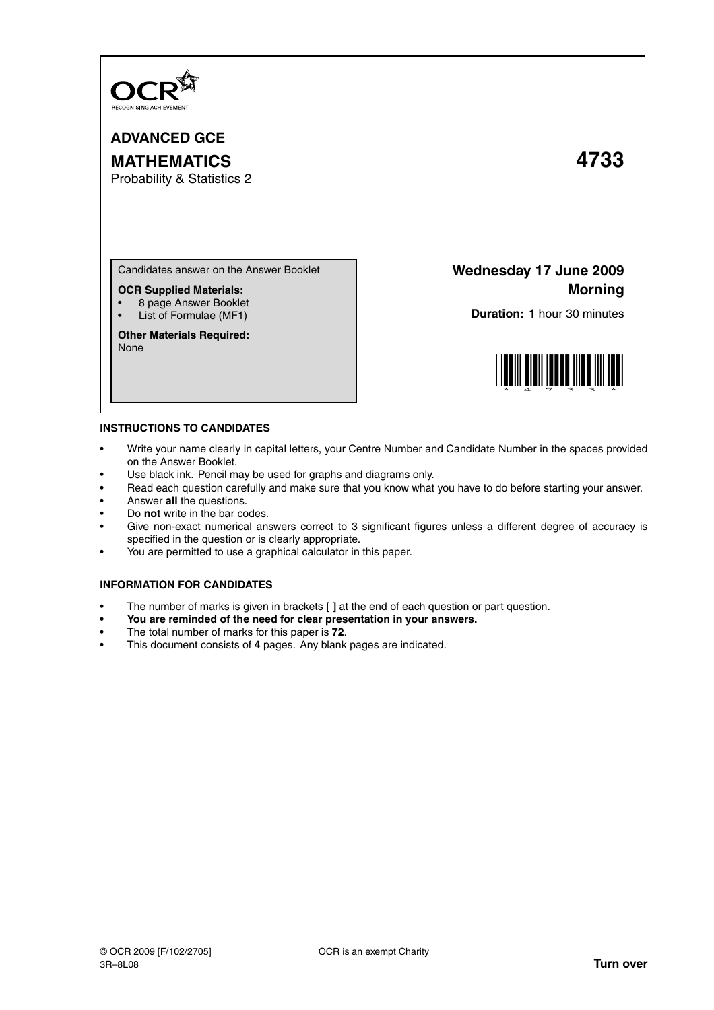

**ADVANCED GCE MATHEMATICS 4733**

Probability & Statistics 2

Candidates answer on the Answer Booklet

**OCR Supplied Materials:**

- 8 page Answer Booklet
- List of Formulae (MF1)

**Other Materials Required:** None

**Wednesday 17 June 2009 Morning**

**Duration:** 1 hour 30 minutes



## **INSTRUCTIONS TO CANDIDATES**

- Write your name clearly in capital letters, your Centre Number and Candidate Number in the spaces provided on the Answer Booklet.
- Use black ink. Pencil may be used for graphs and diagrams only.
- Read each question carefully and make sure that you know what you have to do before starting your answer.
- Answer **all** the questions.
- Do **not** write in the bar codes.
- Give non-exact numerical answers correct to 3 significant figures unless a different degree of accuracy is specified in the question or is clearly appropriate.
- You are permitted to use a graphical calculator in this paper.

## **INFORMATION FOR CANDIDATES**

- The number of marks is given in brackets **[ ]** at the end of each question or part question.
- **You are reminded of the need for clear presentation in your answers.**
- The total number of marks for this paper is **72**.
- This document consists of **4** pages. Any blank pages are indicated.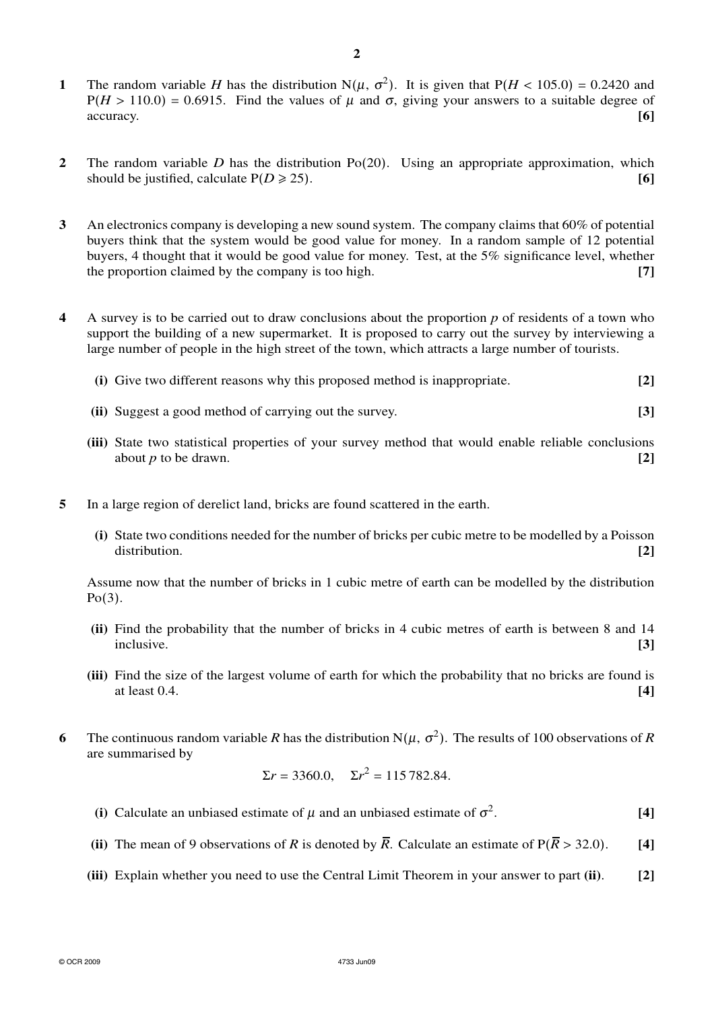- **2** The random variable *D* has the distribution Po(20). Using an appropriate approximation, which should be justified, calculate  $P(D \ge 25)$ . **[6]**
- **3** An electronics company is developing a new sound system. The company claims that 60% of potential buyers think that the system would be good value for money. In a random sample of 12 potential buyers, 4 thought that it would be good value for money. Test, at the 5% significance level, whether the proportion claimed by the company is too high. **[7]**
- **4** A survey is to be carried out to draw conclusions about the proportion *p* of residents of a town who support the building of a new supermarket. It is proposed to carry out the survey by interviewing a large number of people in the high street of the town, which attracts a large number of tourists.
	- **(i)** Give two different reasons why this proposed method is inappropriate. **[2]**
	- **(ii)** Suggest a good method of carrying out the survey. **[3]**
	- **(iii)** State two statistical properties of your survey method that would enable reliable conclusions about *p* to be drawn.  $\boxed{2}$
- **5** In a large region of derelict land, bricks are found scattered in the earth.
	- **(i)** State two conditions needed for the number of bricks per cubic metre to be modelled by a Poisson distribution. **[2]**

Assume now that the number of bricks in 1 cubic metre of earth can be modelled by the distribution  $Po(3)$ .

- **(ii)** Find the probability that the number of bricks in 4 cubic metres of earth is between 8 and 14 inclusive. **[3]**
- **(iii)** Find the size of the largest volume of earth for which the probability that no bricks are found is at least 0.4. **[4]**
- **6** The continuous random variable *R* has the distribution N( $\mu$ ,  $\sigma^2$ ). The results of 100 observations of *R* are summarised by

$$
\Sigma r = 3360.0
$$
,  $\Sigma r^2 = 115782.84$ .

- (i) Calculate an unbiased estimate of  $\mu$  and an unbiased estimate of  $\sigma^2$ . **[4]**
- **(ii)** The mean of 9 observations of *R* is denoted by  $\overline{R}$ . Calculate an estimate of  $P(\overline{R} > 32.0)$ . [4]
- **(iii)** Explain whether you need to use the Central Limit Theorem in your answer to part **(ii)**. **[2]**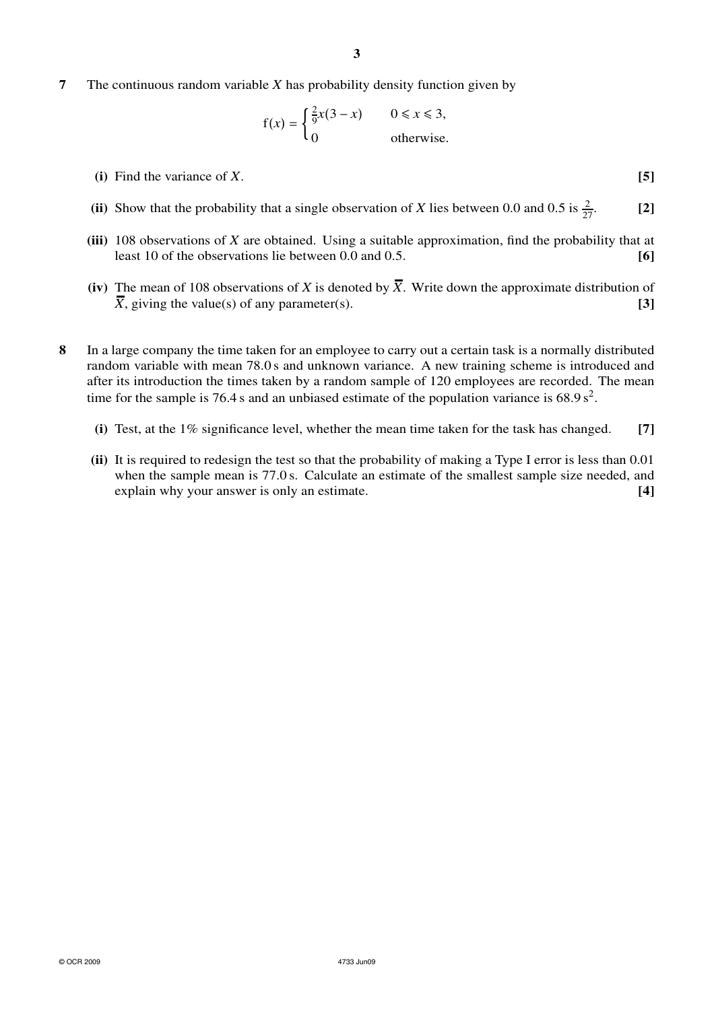**7** The continuous random variable *X* has probability density function given by

$$
f(x) = \begin{cases} \frac{2}{9}x(3-x) & 0 \le x \le 3, \\ 0 & \text{otherwise.} \end{cases}
$$

- **(i)** Find the variance of *X*. **[5]**
- (ii) Show that the probability that a single observation of *X* lies between 0.0 and 0.5 is  $\frac{2}{27}$ . [2]
- **(iii)** 108 observations of *X* are obtained. Using a suitable approximation, find the probability that at least 10 of the observations lie between 0.0 and 0.5. **[6]**
- (iv) The mean of 108 observations of *X* is denoted by  $\overline{X}$ . Write down the approximate distribution of  $\overline{X}$ , giving the value(s) of any parameter(s). **[3]**
- **8** In a large company the time taken for an employee to carry out a certain task is a normally distributed random variable with mean 78.0 s and unknown variance. A new training scheme is introduced and after its introduction the times taken by a random sample of 120 employees are recorded. The mean time for the sample is 76.4 s and an unbiased estimate of the population variance is  $68.9 s^2$ .
	- **(i)** Test, at the 1% significance level, whether the mean time taken for the task has changed. **[7]**
	- **(ii)** It is required to redesign the test so that the probability of making a Type I error is less than 0.01 when the sample mean is 77.0 s. Calculate an estimate of the smallest sample size needed, and explain why your answer is only an estimate. **[4]**